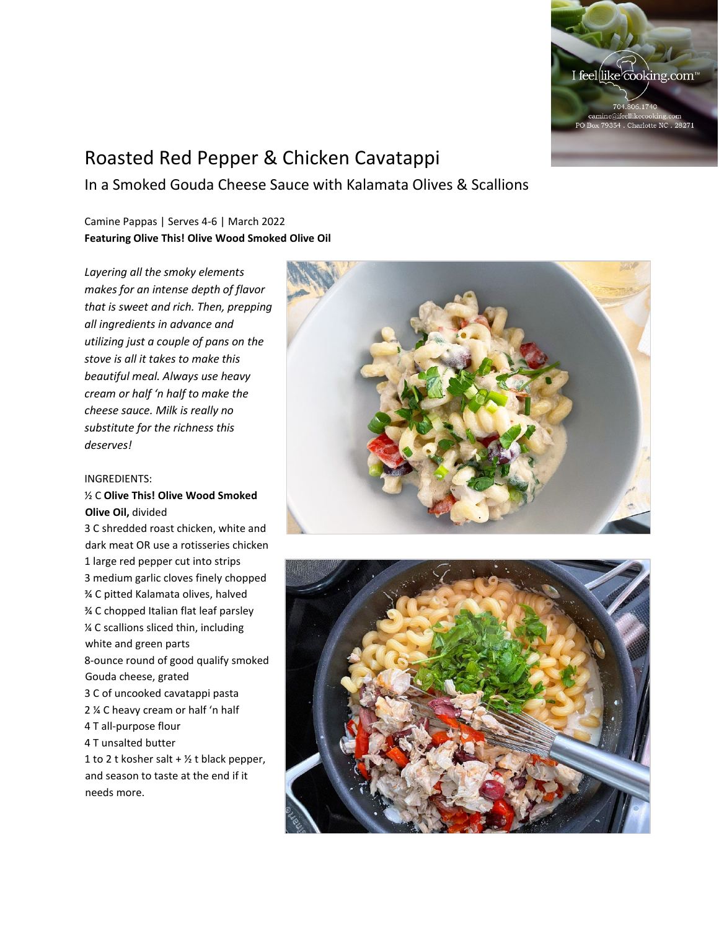

# Roasted Red Pepper & Chicken Cavatappi

In a Smoked Gouda Cheese Sauce with Kalamata Olives & Scallions

## Camine Pappas | Serves 4-6 | March 2022 **Featuring Olive This! Olive Wood Smoked Olive Oil**

*Layering all the smoky elements makes for an intense depth of flavor that is sweet and rich. Then, prepping all ingredients in advance and utilizing just a couple of pans on the stove is all it takes to make this beautiful meal. Always use heavy cream or half 'n half to make the cheese sauce. Milk is really no substitute for the richness this deserves!*

### INGREDIENTS:

## ½ C **Olive This! Olive Wood Smoked Olive Oil,** divided

3 C shredded roast chicken, white and dark meat OR use a rotisseries chicken 1 large red pepper cut into strips 3 medium garlic cloves finely chopped ¾ C pitted Kalamata olives, halved ¾ C chopped Italian flat leaf parsley ¼ C scallions sliced thin, including white and green parts 8-ounce round of good qualify smoked Gouda cheese, grated 3 C of uncooked cavatappi pasta 2 ¼ C heavy cream or half 'n half 4 T all-purpose flour 4 T unsalted butter 1 to 2 t kosher salt  $+$  1/2 t black pepper, and season to taste at the end if it needs more.